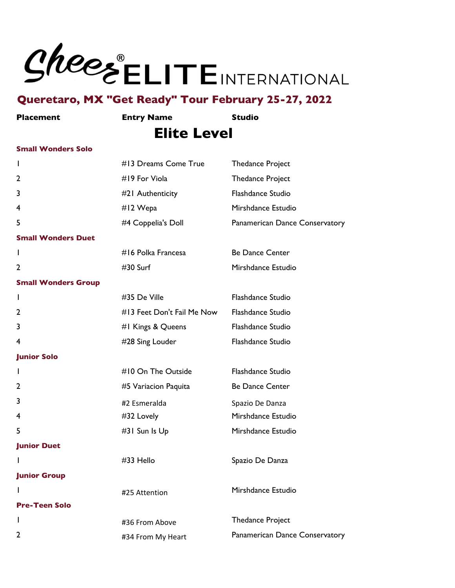

**Placement Entry Name Studio**

# **Elite Level**

#### **Small Wonders Solo**

| L                          | #13 Dreams Come True       | <b>Thedance Project</b>        |
|----------------------------|----------------------------|--------------------------------|
| 2                          | #19 For Viola              | <b>Thedance Project</b>        |
| 3                          | #21 Authenticity           | Flashdance Studio              |
| 4                          | #12 Wepa                   | Mirshdance Estudio             |
| 5                          | #4 Coppelia's Doll         | Panamerican Dance Conservatory |
| <b>Small Wonders Duet</b>  |                            |                                |
| $\mathbf{I}$               | #16 Polka Francesa         | <b>Be Dance Center</b>         |
| $\overline{2}$             | #30 Surf                   | Mirshdance Estudio             |
| <b>Small Wonders Group</b> |                            |                                |
| I.                         | #35 De Ville               | Flashdance Studio              |
| 2                          | #13 Feet Don't Fail Me Now | <b>Flashdance Studio</b>       |
| 3                          | #I Kings & Queens          | Flashdance Studio              |
| 4                          | #28 Sing Louder            | Flashdance Studio              |
| <b>Junior Solo</b>         |                            |                                |
| L                          | #10 On The Outside         | Flashdance Studio              |
| 2                          | #5 Variacion Paquita       | <b>Be Dance Center</b>         |
| 3                          | #2 Esmeralda               | Spazio De Danza                |
| 4                          | #32 Lovely                 | Mirshdance Estudio             |
| 5                          | #31 Sun Is Up              | Mirshdance Estudio             |
| <b>Junior Duet</b>         |                            |                                |
| L                          | #33 Hello                  | Spazio De Danza                |
| <b>Junior Group</b>        |                            |                                |
| L                          | #25 Attention              | Mirshdance Estudio             |
| <b>Pre-Teen Solo</b>       |                            |                                |
| $\mathbf{I}$               | #36 From Above             | <b>Thedance Project</b>        |
|                            |                            |                                |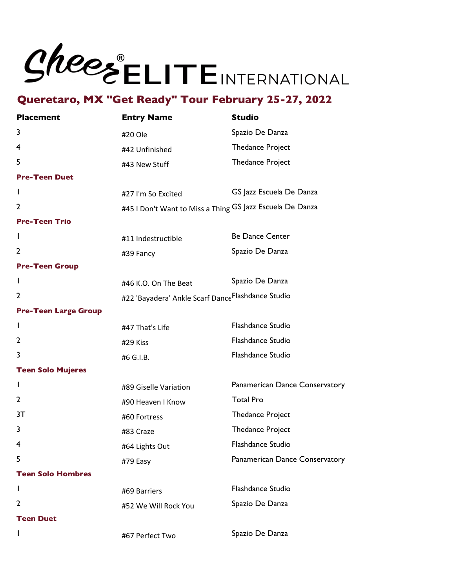

| <b>Placement</b>            | <b>Entry Name</b>                                         | <b>Studio</b>                  |
|-----------------------------|-----------------------------------------------------------|--------------------------------|
| 3                           | #20 Ole                                                   | Spazio De Danza                |
| 4                           | #42 Unfinished                                            | <b>Thedance Project</b>        |
| 5                           | #43 New Stuff                                             | <b>Thedance Project</b>        |
| <b>Pre-Teen Duet</b>        |                                                           |                                |
| I.                          | #27 I'm So Excited                                        | GS Jazz Escuela De Danza       |
| 2                           | #45 I Don't Want to Miss a Thing GS Jazz Escuela De Danza |                                |
| <b>Pre-Teen Trio</b>        |                                                           |                                |
| I.                          | #11 Indestructible                                        | <b>Be Dance Center</b>         |
| 2                           | #39 Fancy                                                 | Spazio De Danza                |
| <b>Pre-Teen Group</b>       |                                                           |                                |
| $\mathbf{I}$                | #46 K.O. On The Beat                                      | Spazio De Danza                |
| 2                           | #22 'Bayadera' Ankle Scarf Dance Flashdance Studio        |                                |
| <b>Pre-Teen Large Group</b> |                                                           |                                |
| $\mathbf{I}$                | #47 That's Life                                           | Flashdance Studio              |
| 2                           | #29 Kiss                                                  | Flashdance Studio              |
| 3                           | #6 G.I.B.                                                 | Flashdance Studio              |
| <b>Teen Solo Mujeres</b>    |                                                           |                                |
| I.                          | #89 Giselle Variation                                     | Panamerican Dance Conservatory |
| 2                           | #90 Heaven I Know                                         | <b>Total Pro</b>               |
| 3T                          | #60 Fortress                                              | <b>Thedance Project</b>        |
| 3                           | #83 Craze                                                 | <b>Thedance Project</b>        |
| 4                           | #64 Lights Out                                            | <b>Flashdance Studio</b>       |
| 5                           | #79 Easy                                                  | Panamerican Dance Conservatory |
| <b>Teen Solo Hombres</b>    |                                                           |                                |
| L                           | #69 Barriers                                              | <b>Flashdance Studio</b>       |
| 2                           | #52 We Will Rock You                                      | Spazio De Danza                |
| <b>Teen Duet</b>            |                                                           |                                |
|                             | #67 Perfect Two                                           | Spazio De Danza                |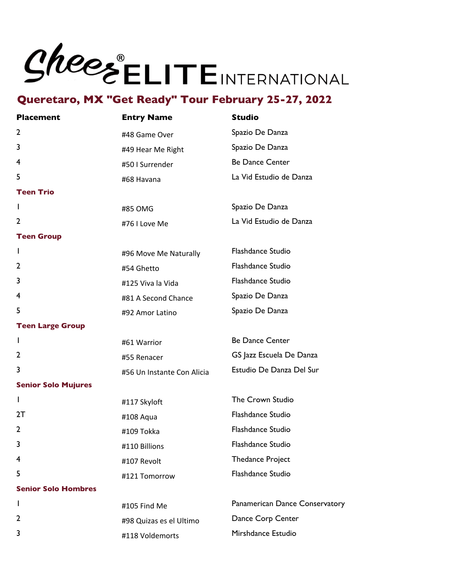# Shees ELITEINTERNATIONAL

## **Queretaro, MX "Get Ready" Tour February 25-27, 2022**

| <b>Placement</b>           | <b>Entry Name</b>          | <b>Studio</b>                  |
|----------------------------|----------------------------|--------------------------------|
| $\overline{2}$             | #48 Game Over              | Spazio De Danza                |
| 3                          | #49 Hear Me Right          | Spazio De Danza                |
| 4                          | #50 I Surrender            | <b>Be Dance Center</b>         |
| 5                          | #68 Havana                 | La Vid Estudio de Danza        |
| <b>Teen Trio</b>           |                            |                                |
| I.                         | #85 OMG                    | Spazio De Danza                |
| 2                          | #76 I Love Me              | La Vid Estudio de Danza        |
| <b>Teen Group</b>          |                            |                                |
| I.                         | #96 Move Me Naturally      | Flashdance Studio              |
| $\overline{2}$             | #54 Ghetto                 | Flashdance Studio              |
| 3                          | #125 Viva la Vida          | Flashdance Studio              |
| 4                          | #81 A Second Chance        | Spazio De Danza                |
| 5                          | #92 Amor Latino            | Spazio De Danza                |
| <b>Teen Large Group</b>    |                            |                                |
| I.                         | #61 Warrior                | <b>Be Dance Center</b>         |
| $\mathbf{2}$               | #55 Renacer                | GS Jazz Escuela De Danza       |
| 3                          | #56 Un Instante Con Alicia | Estudio De Danza Del Sur       |
| <b>Senior Solo Mujures</b> |                            |                                |
| $\mathbf{I}$               | #117 Skyloft               | The Crown Studio               |
| 2T                         | #108 Aqua                  | Flashdance Studio              |
| $\overline{2}$             | #109 Tokka                 | Flashdance Studio              |
| 3                          | #110 Billions              | Flashdance Studio              |
| $\overline{4}$             | #107 Revolt                | <b>Thedance Project</b>        |
| 5                          | #121 Tomorrow              | Flashdance Studio              |
| <b>Senior Solo Hombres</b> |                            |                                |
| I.                         | #105 Find Me               | Panamerican Dance Conservatory |
| $\overline{2}$             | #98 Quizas es el Ultimo    | Dance Corp Center              |

#118 Voldemorts Mirshdance Estudio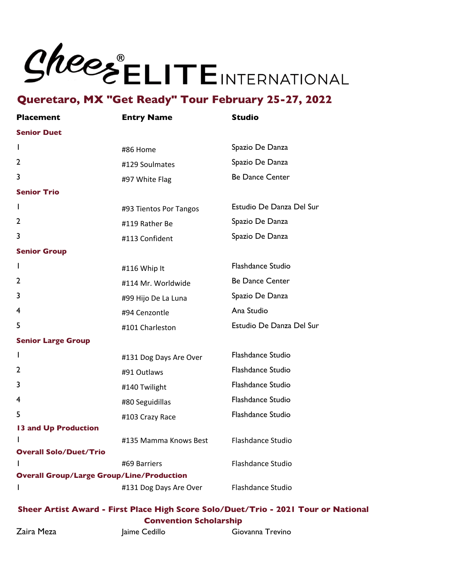# Shees ELITEINTERNATIONAL

### **Queretaro, MX "Get Ready" Tour February 25-27, 2022**

| <b>Placement</b>                                 | <b>Entry Name</b>      | <b>Studio</b>            |
|--------------------------------------------------|------------------------|--------------------------|
| <b>Senior Duet</b>                               |                        |                          |
| L                                                | #86 Home               | Spazio De Danza          |
| 2                                                | #129 Soulmates         | Spazio De Danza          |
| 3                                                | #97 White Flag         | <b>Be Dance Center</b>   |
| <b>Senior Trio</b>                               |                        |                          |
| L                                                | #93 Tientos Por Tangos | Estudio De Danza Del Sur |
| 2                                                | #119 Rather Be         | Spazio De Danza          |
| 3                                                | #113 Confident         | Spazio De Danza          |
| <b>Senior Group</b>                              |                        |                          |
| $\mathbf{I}$                                     | #116 Whip It           | Flashdance Studio        |
| 2                                                | #114 Mr. Worldwide     | <b>Be Dance Center</b>   |
| 3                                                | #99 Hijo De La Luna    | Spazio De Danza          |
| 4                                                | #94 Cenzontle          | Ana Studio               |
| 5                                                | #101 Charleston        | Estudio De Danza Del Sur |
| <b>Senior Large Group</b>                        |                        |                          |
| I                                                | #131 Dog Days Are Over | Flashdance Studio        |
| 2                                                | #91 Outlaws            | Flashdance Studio        |
| 3                                                | #140 Twilight          | <b>Flashdance Studio</b> |
| 4                                                | #80 Seguidillas        | <b>Flashdance Studio</b> |
| 5                                                | #103 Crazy Race        | Flashdance Studio        |
| 13 and Up Production                             |                        |                          |
| L                                                | #135 Mamma Knows Best  | Flashdance Studio        |
| <b>Overall Solo/Duet/Trio</b>                    |                        |                          |
| L                                                | #69 Barriers           | Flashdance Studio        |
| <b>Overall Group/Large Group/Line/Production</b> |                        |                          |
| I                                                | #131 Dog Days Are Over | Flashdance Studio        |

#### **Sheer Artist Award - First Place High Score Solo/Duet/Trio - 2021 Tour or National Convention Scholarship**

Zaira Meza *Jaime* Cedillo Giovanna Trevino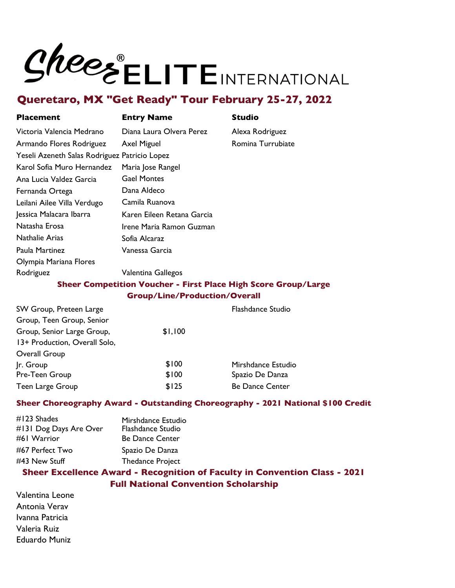# SheesELITEINTERNATIONAL

# **Queretaro, MX "Get Ready" Tour February 25-27, 2022**

| <b>Placement</b>                              | <b>Entry Name</b>                                                     | <b>Studio</b>            |
|-----------------------------------------------|-----------------------------------------------------------------------|--------------------------|
| Victoria Valencia Medrano                     | Diana Laura Olvera Perez                                              | Alexa Rodriguez          |
| Armando Flores Rodriguez                      | <b>Axel Miguel</b>                                                    | Romina Turrubiate        |
| Yeseli Azeneth Salas Rodriguez Patricio Lopez |                                                                       |                          |
| Karol Sofia Muro Hernandez                    | Maria Jose Rangel                                                     |                          |
| Ana Lucia Valdez Garcia                       | <b>Gael Montes</b>                                                    |                          |
| Fernanda Ortega                               | Dana Aldeco                                                           |                          |
| Leilani Ailee Villa Verdugo                   | Camila Ruanova                                                        |                          |
| Jessica Malacara Ibarra                       | Karen Eileen Retana Garcia                                            |                          |
| Natasha Erosa                                 | Irene Maria Ramon Guzman                                              |                          |
| <b>Nathalie Arias</b>                         | Sofia Alcaraz                                                         |                          |
| Paula Martinez                                | Vanessa Garcia                                                        |                          |
| Olympia Mariana Flores                        |                                                                       |                          |
| Rodriguez                                     | Valentina Gallegos                                                    |                          |
|                                               | <b>Sheer Competition Voucher - First Place High Score Group/Large</b> |                          |
|                                               | <b>Group/Line/Production/Overall</b>                                  |                          |
| SW Group, Preteen Large                       |                                                                       | <b>Flashdance Studio</b> |
| Group, Teen Group, Senior                     |                                                                       |                          |
| Group, Senior Large Group,                    | \$1,100                                                               |                          |
| 13+ Production, Overall Solo,                 |                                                                       |                          |

| Overall Group    |       |                        |
|------------------|-------|------------------------|
| Ir. Group        | \$100 | Mirshdance Estudio     |
| Pre-Teen Group   | \$100 | Spazio De Danza        |
| Teen Large Group | \$125 | <b>Be Dance Center</b> |

#### **Sheer Choreography Award - Outstanding Choreography - 2021 National \$100 Credit**

| Mirshdance Estudio      |
|-------------------------|
| Flashdance Studio       |
| <b>Be Dance Center</b>  |
| Spazio De Danza         |
| <b>Thedance Project</b> |
|                         |

### **Sheer Excellence Award - Recognition of Faculty in Convention Class - 2021 Full National Convention Scholarship**

Valentina Leone Antonia Verav Ivanna Patricia Valeria Ruiz Eduardo Muniz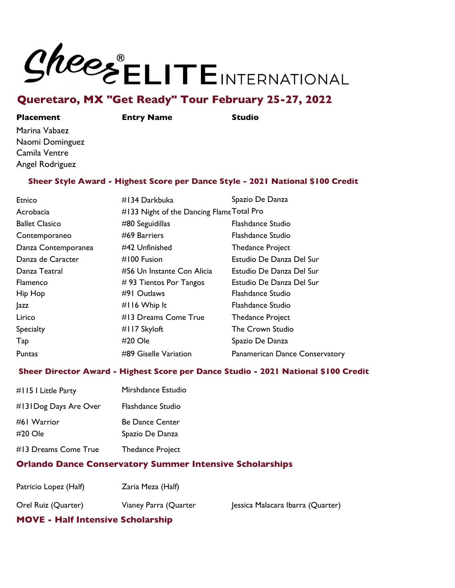# SheesELITEINTERNATIONAL

## **Queretaro, MX "Get Ready" Tour February 25-27, 2022**

#### **Placement Entry Name Studio**

Marina Vabaez Naomi Dominguez Camila Ventre Angel Rodriguez

#### **Sheer Style Award - Highest Score per Dance Style - 2021 National \$100 Credit**

| Etnico                | #134 Darkbuka                             | Spazio De Danza                |
|-----------------------|-------------------------------------------|--------------------------------|
| Acrobacia             | #133 Night of the Dancing Flame Total Pro |                                |
| <b>Ballet Clasico</b> | #80 Seguidillas                           | <b>Flashdance Studio</b>       |
| Contemporaneo         | #69 Barriers                              | Flashdance Studio              |
| Danza Contemporanea   | #42 Unfinished                            | <b>Thedance Project</b>        |
| Danza de Caracter     | #100 Fusion                               | Estudio De Danza Del Sur       |
| Danza Teatral         | #56 Un Instante Con Alicia                | Estudio De Danza Del Sur       |
| <b>Flamenco</b>       | $# 93$ Tientos Por Tangos                 | Estudio De Danza Del Sur       |
| Hip Hop               | #91 Outlaws                               | Flashdance Studio              |
| <b>azz</b>            | #116 Whip It                              | Flashdance Studio              |
| Lirico                | #13 Dreams Come True                      | <b>Thedance Project</b>        |
| <b>Specialty</b>      | #117 Skyloft                              | The Crown Studio               |
| Tap                   | #20 Ole                                   | Spazio De Danza                |
| Puntas                | #89 Giselle Variation                     | Panamerican Dance Conservatory |

#### **Sheer Director Award - Highest Score per Dance Studio - 2021 National \$100 Credit**

| #1151 Little Party     | Mirshdance Estudio                        |
|------------------------|-------------------------------------------|
| #131Dog Days Are Over  | Flashdance Studio                         |
| #61 Warrior<br>#20 Ole | <b>Be Dance Center</b><br>Spazio De Danza |
| #13 Dreams Come True   | <b>Thedance Project</b>                   |

### **Orlando Dance Conservatory Summer Intensive Scholarships**

| Patricio Lopez (Half) | Zaria Meza (Half)     |                                   |
|-----------------------|-----------------------|-----------------------------------|
| Orel Ruiz (Quarter)   | Vianey Parra (Quarter | Jessica Malacara Ibarra (Quarter) |

### **MOVE - Half Intensive Scholarship**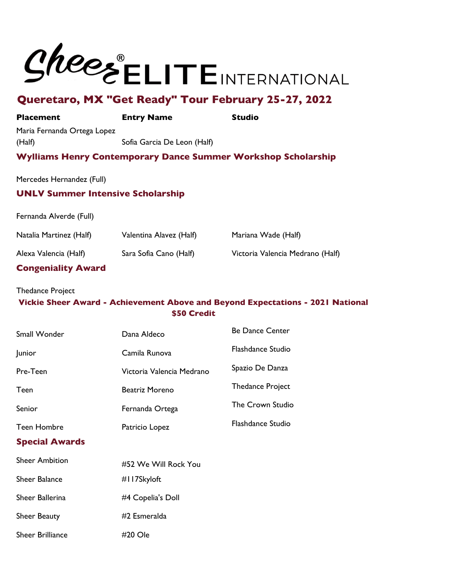# Shees ELITEINTERNATIONAL

# **Queretaro, MX "Get Ready" Tour February 25-27, 2022**

#### **Placement Entry Name Studio**

Maria Fernanda Ortega Lopez (Half) Sofia Garcia De Leon (Half)

#### **Wylliams Henry Contemporary Dance Summer Workshop Scholarship**

Mercedes Hernandez (Full)

#### **UNLV Summer Intensive Scholarship**

Fernanda Alverde (Full)

| Natalia Martinez (Half)   | Valentina Alavez (Half) | Mariana Wade (Half)              |
|---------------------------|-------------------------|----------------------------------|
| Alexa Valencia (Half)     | Sara Sofia Cano (Half)  | Victoria Valencia Medrano (Half) |
| <b>Congeniality Award</b> |                         |                                  |

#### Thedance Project

#### **Vickie Sheer Award - Achievement Above and Beyond Expectations - 2021 National \$50 Credit**

| Small Wonder            | Dana Aldeco               | <b>Be Dance Center</b>   |
|-------------------------|---------------------------|--------------------------|
| Junior                  | Camila Runova             | <b>Flashdance Studio</b> |
| Pre-Teen                | Victoria Valencia Medrano | Spazio De Danza          |
| Teen                    | Beatriz Moreno            | <b>Thedance Project</b>  |
| Senior                  | Fernanda Ortega           | The Crown Studio         |
| <b>Teen Hombre</b>      | Patricio Lopez            | <b>Flashdance Studio</b> |
| <b>Special Awards</b>   |                           |                          |
| <b>Sheer Ambition</b>   | #52 We Will Rock You      |                          |
| <b>Sheer Balance</b>    | #117Skyloft               |                          |
| Sheer Ballerina         | #4 Copelia's Doll         |                          |
| Sheer Beauty            | #2 Esmeralda              |                          |
| <b>Sheer Brilliance</b> | $#20$ Ole                 |                          |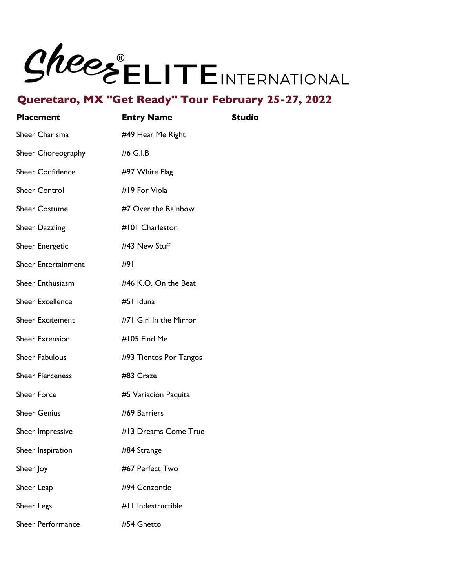

| <b>Placement</b>           | <b>Entry Name</b>      | <b>Studio</b> |
|----------------------------|------------------------|---------------|
| Sheer Charisma             | #49 Hear Me Right      |               |
| Sheer Choreography         | #6 G.I.B               |               |
| <b>Sheer Confidence</b>    | #97 White Flag         |               |
| <b>Sheer Control</b>       | #19 For Viola          |               |
| <b>Sheer Costume</b>       | #7 Over the Rainbow    |               |
| <b>Sheer Dazzling</b>      | #101 Charleston        |               |
| <b>Sheer Energetic</b>     | #43 New Stuff          |               |
| <b>Sheer Entertainment</b> | #91                    |               |
| <b>Sheer Enthusiasm</b>    | #46 K.O. On the Beat   |               |
| <b>Sheer Excellence</b>    | #51 Iduna              |               |
| <b>Sheer Excitement</b>    | #71 Girl In the Mirror |               |
| <b>Sheer Extension</b>     | #105 Find Me           |               |
| <b>Sheer Fabulous</b>      | #93 Tientos Por Tangos |               |
| <b>Sheer Fierceness</b>    | #83 Craze              |               |
| <b>Sheer Force</b>         | #5 Variacion Paquita   |               |
| <b>Sheer Genius</b>        | #69 Barriers           |               |
| Sheer Impressive           | #13 Dreams Come True   |               |
| Sheer Inspiration          | #84 Strange            |               |
| Sheer Joy                  | #67 Perfect Two        |               |
| Sheer Leap                 | #94 Cenzontle          |               |
| <b>Sheer Legs</b>          | #11 Indestructible     |               |
| <b>Sheer Performance</b>   | #54 Ghetto             |               |